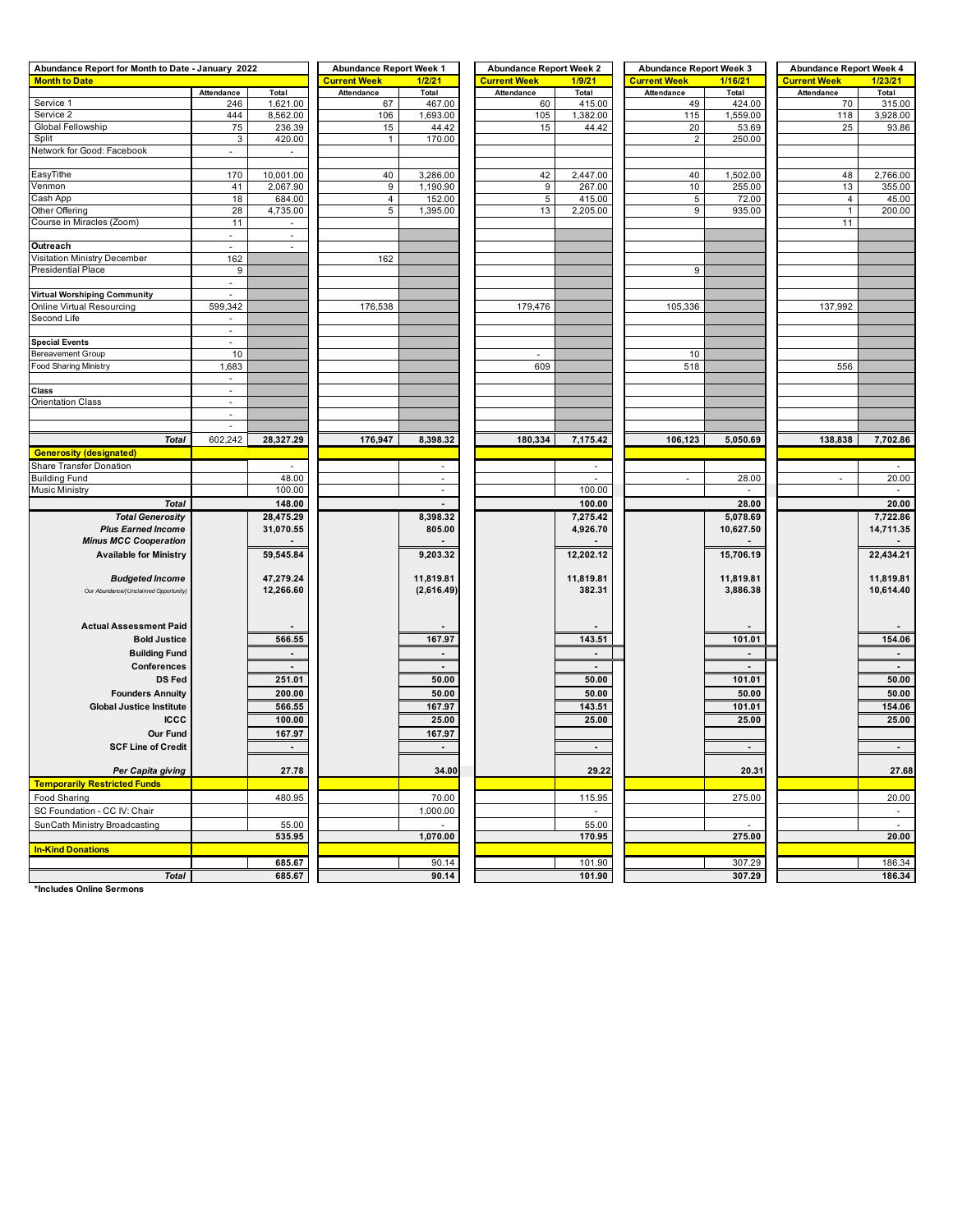| Abundance Report for Month to Date - January 2022 |                                       |                          | <b>Abundance Report Week 1</b> |                          | <b>Abundance Report Week 2</b> |                | <b>Abundance Report Week 3</b> |                 | <b>Abundance Report Week 4</b> |                |  |  |
|---------------------------------------------------|---------------------------------------|--------------------------|--------------------------------|--------------------------|--------------------------------|----------------|--------------------------------|-----------------|--------------------------------|----------------|--|--|
| <b>Month to Date</b>                              |                                       |                          | <b>Current Week</b>            | 1/2/21                   | <b>Current Week</b>            | 1/9/21         | <b>Current Week</b>            | 1/16/21         | <b>Current Week</b>            | 1/23/21        |  |  |
|                                                   | Attendance                            | Total                    | Attendance                     | Total                    | Attendance                     | Total          | Attendance                     | Total           | Attendance                     | Total          |  |  |
| Service 1                                         | 246                                   | 1,621.00                 | 67                             | 467.00                   | 60                             | 415.00         | 49                             | 424.00          | 70                             | 315.00         |  |  |
| Service 2                                         | 444                                   | 8,562.00                 | 106                            | 1,693.00                 | 105                            | 1,382.00       | 115                            | 1,559.00        | 118                            | 3,928.00       |  |  |
| Global Fellowship<br>Split                        | 75<br>3                               | 236.39<br>420.00         | 15<br>$\mathbf{1}$             | 44.42<br>170.00          | 15                             | 44.42          | 20<br>$\overline{2}$           | 53.69<br>250.00 | 25                             | 93.86          |  |  |
| Network for Good: Facebook                        |                                       |                          |                                |                          |                                |                |                                |                 |                                |                |  |  |
|                                                   |                                       |                          |                                |                          |                                |                |                                |                 |                                |                |  |  |
| EasyTithe                                         | 170                                   | 10,001.00                | 40                             | 3,286.00                 | 42                             | 2,447.00       | 40                             | 1,502.00        | 48                             | 2,766.00       |  |  |
| Venmon                                            | 41                                    | 2,067.90                 | $\boldsymbol{9}$               | 1,190.90                 | 9                              | 267.00         | 10                             | 255.00          | 13                             | 355.00         |  |  |
| Cash App                                          | 18                                    | 684.00                   | $\overline{4}$                 | 152.00                   | 5                              | 415.00         | 5                              | 72.00           | $\overline{4}$                 | 45.00          |  |  |
| Other Offering                                    | 28                                    | 4,735.00                 | $\,$ 5 $\,$                    | 1,395.00                 | 13                             | 2,205.00       | 9                              | 935.00          | $\mathbf{1}$                   | 200.00         |  |  |
| Course in Miracles (Zoom)                         | 11                                    | $\overline{\phantom{a}}$ |                                |                          |                                |                |                                |                 | 11                             |                |  |  |
|                                                   | $\sim$                                | $\blacksquare$           |                                |                          |                                |                |                                |                 |                                |                |  |  |
| Outreach                                          | $\overline{\phantom{a}}$              | $\overline{\phantom{a}}$ |                                |                          |                                |                |                                |                 |                                |                |  |  |
| Visitation Ministry December                      | 162                                   |                          | 162                            |                          |                                |                |                                |                 |                                |                |  |  |
| Presidential Place                                | 9                                     |                          |                                |                          |                                |                | 9                              |                 |                                |                |  |  |
|                                                   |                                       |                          |                                |                          |                                |                |                                |                 |                                |                |  |  |
| <b>Virtual Worshiping Community</b>               | $\overline{\phantom{a}}$              |                          |                                |                          |                                |                |                                |                 |                                |                |  |  |
| Online Virtual Resourcing                         | 599,342                               |                          | 176,538                        |                          | 179,476                        |                | 105,336                        |                 | 137,992                        |                |  |  |
| Second Life                                       | $\mathcal{L}$                         |                          |                                |                          |                                |                |                                |                 |                                |                |  |  |
|                                                   | $\blacksquare$                        |                          |                                |                          |                                |                |                                |                 |                                |                |  |  |
| <b>Special Events</b>                             | $\overline{\phantom{a}}$              |                          |                                |                          |                                |                |                                |                 |                                |                |  |  |
| Bereavement Group                                 | 10                                    |                          |                                |                          | $\overline{\phantom{a}}$       |                | 10                             |                 |                                |                |  |  |
| Food Sharing Ministry                             | 1,683                                 |                          |                                |                          | 609                            |                | 518                            |                 | 556                            |                |  |  |
|                                                   | $\overline{\phantom{a}}$              |                          |                                |                          |                                |                |                                |                 |                                |                |  |  |
| Class                                             | $\mathcal{L}_{\mathcal{A}}$           |                          |                                |                          |                                |                |                                |                 |                                |                |  |  |
| Orientation Class                                 | $\blacksquare$                        |                          |                                |                          |                                |                |                                |                 |                                |                |  |  |
|                                                   | $\sim$<br>$\mathcal{L}_{\mathcal{A}}$ |                          |                                |                          |                                |                |                                |                 |                                |                |  |  |
|                                                   |                                       |                          |                                |                          |                                |                |                                |                 |                                |                |  |  |
| <b>Total</b>                                      | 602,242                               | 28,327.29                | 176,947                        | 8,398.32                 | 180,334                        | 7,175.42       | 106,123                        | 5,050.69        | 138,838                        | 7,702.86       |  |  |
| <b>Generosity (designated)</b>                    |                                       |                          |                                |                          |                                |                |                                |                 |                                |                |  |  |
| Share Transfer Donation                           |                                       | $\sim$                   |                                | $\overline{\phantom{a}}$ |                                |                |                                |                 |                                |                |  |  |
| <b>Building Fund</b>                              |                                       | 48.00                    |                                | ä,                       |                                |                |                                | 28.00           |                                | 20.00          |  |  |
| Music Ministry                                    |                                       | 100.00                   |                                | $\overline{\phantom{a}}$ |                                | 100.00         |                                | ٠               |                                | $\sim$         |  |  |
| <b>Total</b>                                      |                                       | 148.00                   |                                | $\overline{\phantom{a}}$ |                                | 100.00         |                                | 28.00           |                                | 20.00          |  |  |
| <b>Total Generosity</b>                           |                                       | 28,475.29                |                                | 8,398.32                 |                                | 7,275.42       |                                | 5,078.69        |                                | 7,722.86       |  |  |
| <b>Plus Earned Income</b>                         |                                       | 31,070.55                |                                | 805.00                   |                                | 4,926.70       |                                | 10,627.50       |                                | 14,711.35      |  |  |
| <b>Minus MCC Cooperation</b>                      |                                       |                          |                                |                          |                                |                |                                |                 |                                |                |  |  |
| <b>Available for Ministry</b>                     |                                       | 59,545.84                |                                | 9,203.32                 |                                | 12,202.12      |                                | 15,706.19       |                                | 22,434.21      |  |  |
|                                                   |                                       |                          |                                |                          |                                |                |                                |                 |                                |                |  |  |
| <b>Budgeted Income</b>                            |                                       | 47,279.24                |                                | 11,819.81                |                                | 11,819.81      |                                | 11,819.81       |                                | 11,819.81      |  |  |
| Our Abundance/(Unclaimed Opportunity)             |                                       | 12,266.60                |                                | (2,616.49)               |                                | 382.31         |                                | 3,886.38        |                                | 10,614.40      |  |  |
|                                                   |                                       |                          |                                |                          |                                |                |                                |                 |                                |                |  |  |
| <b>Actual Assessment Paid</b>                     |                                       |                          |                                |                          |                                |                |                                |                 |                                |                |  |  |
| <b>Bold Justice</b>                               |                                       | 566.55                   |                                | 167.97                   |                                | 143.51         |                                | 101.01          |                                | 154.06         |  |  |
|                                                   |                                       |                          |                                |                          |                                |                |                                |                 |                                |                |  |  |
| <b>Building Fund</b>                              |                                       | $\blacksquare$           |                                | $\blacksquare$           |                                | ٠              |                                | $\blacksquare$  |                                | $\blacksquare$ |  |  |
| Conferences                                       |                                       | $\sim$                   |                                |                          |                                |                |                                |                 |                                | $\blacksquare$ |  |  |
| <b>DS Fed</b>                                     |                                       | 251.01                   |                                | 50.00                    |                                | 50.00          |                                | 101.01          |                                | 50.00          |  |  |
| <b>Founders Annuity</b>                           |                                       | 200.00                   |                                | 50.00                    |                                | 50.00          |                                | 50.00           |                                | 50.00          |  |  |
| <b>Global Justice Institute</b>                   |                                       | 566.55                   |                                | 167.97                   |                                | 143.51         |                                | 101.01          |                                | 154.06         |  |  |
| <b>ICCC</b>                                       |                                       | 100.00                   |                                | 25.00                    |                                | 25.00          |                                | 25.00           |                                | 25.00          |  |  |
| <b>Our Fund</b>                                   |                                       | 167.97                   |                                | 167.97                   |                                |                |                                |                 |                                |                |  |  |
| <b>SCF Line of Credit</b>                         |                                       | $\blacksquare$           |                                | $\blacksquare$           |                                | $\blacksquare$ |                                | $\blacksquare$  |                                | $\blacksquare$ |  |  |
|                                                   |                                       |                          |                                |                          |                                |                |                                |                 |                                |                |  |  |
| Per Capita giving                                 |                                       | 27.78                    |                                | 34.00                    |                                | 29.22          |                                | 20.31           |                                | 27.68          |  |  |
| <b>Temporarily Restricted Funds</b>               |                                       |                          |                                |                          |                                |                |                                |                 |                                |                |  |  |
| Food Sharing                                      |                                       | 480.95                   |                                | 70.00                    |                                | 115.95         |                                | 275.00          |                                | 20.00          |  |  |
| SC Foundation - CC IV: Chair                      |                                       |                          |                                | 1,000.00                 |                                | $\sim$         |                                |                 |                                | $\sim$         |  |  |
| SunCath Ministry Broadcasting                     |                                       | 55.00                    |                                |                          |                                | 55.00          |                                |                 |                                |                |  |  |
|                                                   |                                       | 535.95                   |                                | 1,070.00                 |                                | 170.95         |                                | 275.00          |                                | 20.00          |  |  |
| <b>In-Kind Donations</b>                          |                                       |                          |                                |                          |                                |                |                                |                 |                                |                |  |  |
|                                                   |                                       | 685.67                   |                                | 90.14                    |                                | 101.90         |                                | 307.29          |                                | 186.34         |  |  |
| <b>Total</b>                                      |                                       | 685.67                   |                                | 90.14                    |                                | 101.90         |                                | 307.29          |                                | 186.34         |  |  |
|                                                   |                                       |                          |                                |                          |                                |                |                                |                 |                                |                |  |  |

**\*Includes Online Sermons**